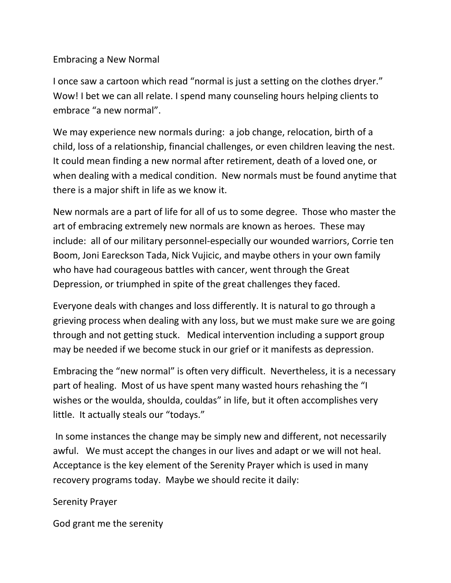## Embracing a New Normal

I once saw a cartoon which read "normal is just a setting on the clothes dryer." Wow! I bet we can all relate. I spend many counseling hours helping clients to embrace "a new normal".

We may experience new normals during: a job change, relocation, birth of a child, loss of a relationship, financial challenges, or even children leaving the nest. It could mean finding a new normal after retirement, death of a loved one, or when dealing with a medical condition. New normals must be found anytime that there is a major shift in life as we know it.

New normals are a part of life for all of us to some degree. Those who master the art of embracing extremely new normals are known as heroes. These may include: all of our military personnel-especially our wounded warriors, Corrie ten Boom, Joni Eareckson Tada, Nick Vujicic, and maybe others in your own family who have had courageous battles with cancer, went through the Great Depression, or triumphed in spite of the great challenges they faced.

Everyone deals with changes and loss differently. It is natural to go through a grieving process when dealing with any loss, but we must make sure we are going through and not getting stuck. Medical intervention including a support group may be needed if we become stuck in our grief or it manifests as depression.

Embracing the "new normal" is often very difficult. Nevertheless, it is a necessary part of healing. Most of us have spent many wasted hours rehashing the "I wishes or the woulda, shoulda, couldas" in life, but it often accomplishes very little. It actually steals our "todays."

In some instances the change may be simply new and different, not necessarily awful. We must accept the changes in our lives and adapt or we will not heal. Acceptance is the key element of the Serenity Prayer which is used in many recovery programs today. Maybe we should recite it daily:

## Serenity Prayer

God grant me the serenity